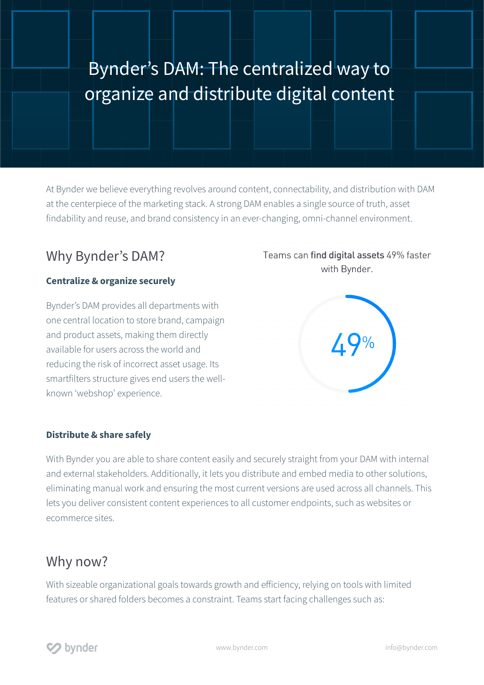## Bynder's DAM: The centralized way to organize and distribute digital content

At Bynder we believe everything revolves around content, connectability, and distribution with DAM at the centerpiece of the marketing stack. A strong DAM enables a single source of truth, asset findability and reuse, and brand consistency in an ever-changing, omni-channel environment.

### Why Bynder's DAM?

#### **Centralize & organize securely**

Bynder's DAM provides all departments with one central location to store brand, campaign and product assets, making them directly available for users across the world and reducing the risk of incorrect asset usage. Its smartfilters structure gives end users the wellknown 'webshop' experience.

## **Distribute & share safely**

With Bynder you are able to share content easily and securely straight from your DAM with internal and external stakeholders. Additionally, it lets you distribute and embed media to other solutions, eliminating manual work and ensuring the most current versions are used across all channels. This lets you deliver consistent content experiences to all customer endpoints, such as websites or ecommerce sites.

#### Why now?

With sizeable organizational goals towards growth and efficiency, relying on tools with limited features or shared folders becomes a constraint. Teams start facing challenges such as:

# 49%

Teams can find digital assets 49% faster with Bynder.